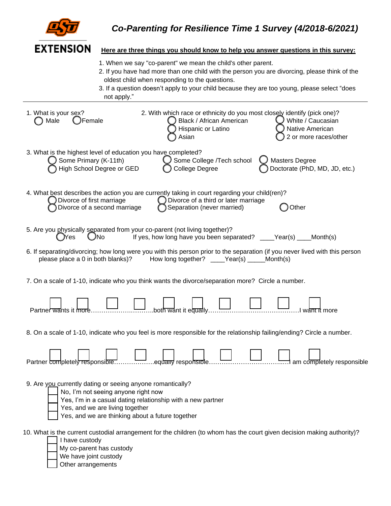|  | <b>EXTENSION</b> |  |
|--|------------------|--|

## **Here are three things you should know to help you answer questions in this survey:**

- 1. When we say "co-parent" we mean the child's other parent.
- 2. If you have had more than one child with the person you are divorcing, please think of the oldest child when responding to the questions.
- 3. If a question doesn't apply to your child because they are too young, please select "does not apply."

| 1. What is your sex?<br>Male<br>Female                                                                                                                                                   | 2. With which race or ethnicity do you most closely identify (pick one)?<br>Black / African American<br>Hispanic or Latino<br>Asian                                         | White / Caucasian<br>Native American<br>2 or more races/other |
|------------------------------------------------------------------------------------------------------------------------------------------------------------------------------------------|-----------------------------------------------------------------------------------------------------------------------------------------------------------------------------|---------------------------------------------------------------|
| 3. What is the highest level of education you have completed?<br>Some Primary (K-11th)<br>High School Degree or GED                                                                      | Some College /Tech school<br>$\left( \quad \right)$<br><b>College Degree</b>                                                                                                | <b>Masters Degree</b><br>Doctorate (PhD, MD, JD, etc.)        |
| Divorce of first marriage<br>Divorce of a second marriage                                                                                                                                | 4. What best describes the action you are currently taking in court regarding your child(ren)?<br>◯ Divorce of a third or later marriage<br>Separation (never married)      | Other                                                         |
| 5. Are you physically separated from your co-parent (not living together)?<br>$\bigcup$ No<br>Nes                                                                                        | If yes, how long have you been separated? ____Year(s) ____Month(s)                                                                                                          |                                                               |
| please place a 0 in both blanks)?                                                                                                                                                        | 6. If separating/divorcing; how long were you with this person prior to the separation (if you never lived with this person<br>How long together? ____Year(s) _____Month(s) |                                                               |
|                                                                                                                                                                                          | 7. On a scale of 1-10, indicate who you think wants the divorce/separation more? Circle a number.                                                                           |                                                               |
| Partner wants it more                                                                                                                                                                    | both want it equally                                                                                                                                                        |                                                               |
|                                                                                                                                                                                          | 8. On a scale of 1-10, indicate who you feel is more responsible for the relationship failing/ending? Circle a number.                                                      |                                                               |
|                                                                                                                                                                                          |                                                                                                                                                                             | <del></del> I am completely responsible                       |
| 9. Are you currently dating or seeing anyone romantically?<br>No, I'm not seeing anyone right now<br>Yes, and we are living together<br>Yes, and we are thinking about a future together | Yes, I'm in a casual dating relationship with a new partner                                                                                                                 |                                                               |
| I have custody<br>My co-parent has custody<br>We have joint custody<br>Other arrangements                                                                                                | 10. What is the current custodial arrangement for the children (to whom has the court given decision making authority)?                                                     |                                                               |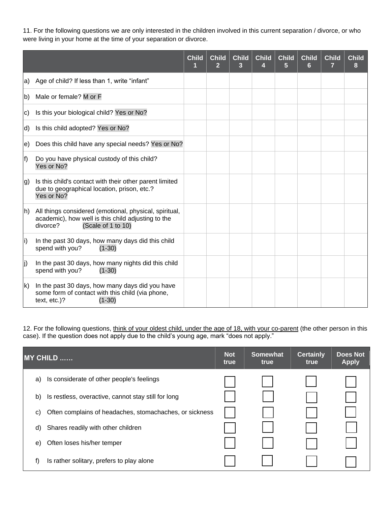11. For the following questions we are only interested in the children involved in this current separation / divorce, or who were living in your home at the time of your separation or divorce.

|                   |                                                                                                                                                | <b>Child</b><br>1 | Child<br>$\overline{2}$ | <b>Child</b><br>3 | <b>Child</b><br>4 | <b>Child</b><br>5 | <b>Child</b><br>6 | <b>Child</b><br>7 | <b>Child</b><br>8 |
|-------------------|------------------------------------------------------------------------------------------------------------------------------------------------|-------------------|-------------------------|-------------------|-------------------|-------------------|-------------------|-------------------|-------------------|
| la)               | Age of child? If less than 1, write "infant"                                                                                                   |                   |                         |                   |                   |                   |                   |                   |                   |
| lb)               | Male or female? M or F                                                                                                                         |                   |                         |                   |                   |                   |                   |                   |                   |
| C)                | Is this your biological child? Yes or No?                                                                                                      |                   |                         |                   |                   |                   |                   |                   |                   |
| d)                | Is this child adopted? Yes or No?                                                                                                              |                   |                         |                   |                   |                   |                   |                   |                   |
| le)               | Does this child have any special needs? Yes or No?                                                                                             |                   |                         |                   |                   |                   |                   |                   |                   |
| f)                | Do you have physical custody of this child?<br>Yes or No?                                                                                      |                   |                         |                   |                   |                   |                   |                   |                   |
| g)                | Is this child's contact with their other parent limited<br>due to geographical location, prison, etc.?<br>Yes or No?                           |                   |                         |                   |                   |                   |                   |                   |                   |
| $\vert h \rangle$ | All things considered (emotional, physical, spiritual,<br>academic), how well is this child adjusting to the<br>divorce?<br>(Scale of 1 to 10) |                   |                         |                   |                   |                   |                   |                   |                   |
| $\vert i \rangle$ | In the past 30 days, how many days did this child<br>spend with you?<br>$(1-30)$                                                               |                   |                         |                   |                   |                   |                   |                   |                   |
| lj)               | In the past 30 days, how many nights did this child<br>spend with you?<br>$(1-30)$                                                             |                   |                         |                   |                   |                   |                   |                   |                   |
| Ik)               | In the past 30 days, how many days did you have<br>some form of contact with this child (via phone,<br>text, etc.)?<br>$(1-30)$                |                   |                         |                   |                   |                   |                   |                   |                   |

12. For the following questions, think of your oldest child, under the age of 18, with your co-parent (the other person in this case). If the question does not apply due to the child's young age, mark "does not apply."

| <b>MY CHILD </b>                                              | <b>Not</b><br>true | <b>Somewhat</b><br>true | <b>Certainly</b><br>true | <b>Does Not</b><br><b>Apply</b> |
|---------------------------------------------------------------|--------------------|-------------------------|--------------------------|---------------------------------|
| a) Is considerate of other people's feelings                  |                    |                         |                          |                                 |
| Is restless, overactive, cannot stay still for long<br>b)     |                    |                         |                          |                                 |
| Often complains of headaches, stomachaches, or sickness<br>C) |                    |                         |                          |                                 |
| Shares readily with other children<br>d)                      |                    |                         |                          |                                 |
| Often loses his/her temper<br>e)                              |                    |                         |                          |                                 |
| f)<br>Is rather solitary, prefers to play alone               |                    |                         |                          |                                 |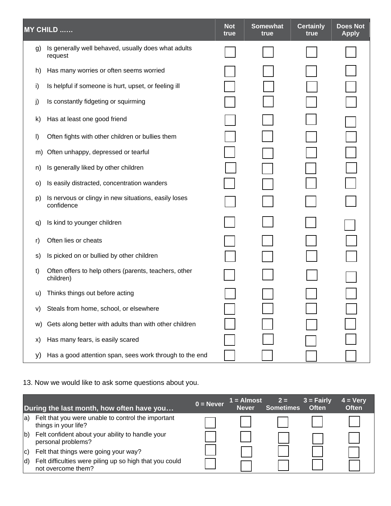|    | MY CHILD                                                           | <b>Not</b><br>true | <b>Somewhat</b><br>true | <b>Certainly</b><br>true | <b>Does Not</b><br><b>Apply</b> |
|----|--------------------------------------------------------------------|--------------------|-------------------------|--------------------------|---------------------------------|
| g) | Is generally well behaved, usually does what adults<br>request     |                    |                         |                          |                                 |
| h) | Has many worries or often seems worried                            |                    |                         |                          |                                 |
| i) | Is helpful if someone is hurt, upset, or feeling ill               |                    |                         |                          |                                 |
| j) | Is constantly fidgeting or squirming                               |                    |                         |                          |                                 |
| k) | Has at least one good friend                                       |                    |                         |                          |                                 |
| I) | Often fights with other children or bullies them                   |                    |                         |                          |                                 |
| m) | Often unhappy, depressed or tearful                                |                    |                         |                          |                                 |
| n) | Is generally liked by other children                               |                    |                         |                          |                                 |
| O) | Is easily distracted, concentration wanders                        |                    |                         |                          |                                 |
| p) | Is nervous or clingy in new situations, easily loses<br>confidence |                    |                         |                          |                                 |
| q) | Is kind to younger children                                        |                    |                         |                          |                                 |
| r) | Often lies or cheats                                               |                    |                         |                          |                                 |
| S) | Is picked on or bullied by other children                          |                    |                         |                          |                                 |
| t) | Often offers to help others (parents, teachers, other<br>children) |                    |                         |                          |                                 |
| u) | Thinks things out before acting                                    |                    |                         |                          |                                 |
| V) | Steals from home, school, or elsewhere                             |                    |                         |                          |                                 |
| W) | Gets along better with adults than with other children             |                    |                         |                          |                                 |
| X) | Has many fears, is easily scared                                   |                    |                         |                          |                                 |
| y) | Has a good attention span, sees work through to the end            |                    |                         |                          |                                 |

## 13. Now we would like to ask some questions about you.

|     | During the last month, how often have you                                     | $0 =$ Never | $1 =$ Almost<br><b>Never</b> | $2 =$<br><b>Sometimes</b> | $3 =$ Fairly<br><b>Often</b> | $4 = Very$<br><b>Often</b> |
|-----|-------------------------------------------------------------------------------|-------------|------------------------------|---------------------------|------------------------------|----------------------------|
| la) | Felt that you were unable to control the important<br>things in your life?    |             |                              |                           |                              |                            |
| b)  | Felt confident about your ability to handle your<br>personal problems?        |             |                              |                           |                              |                            |
| c)  | Felt that things were going your way?                                         |             |                              |                           |                              |                            |
| (d  | Felt difficulties were piling up so high that you could<br>not overcome them? |             |                              |                           |                              |                            |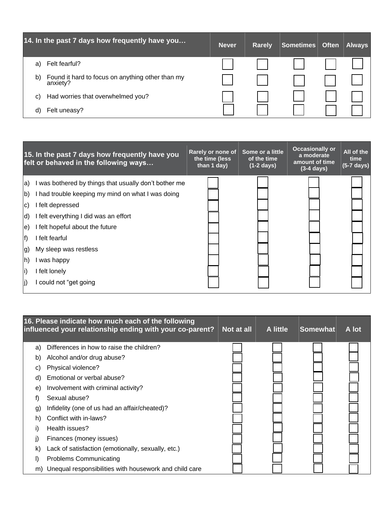|    | 14. In the past 7 days how frequently have you               | <b>Never</b> | <b>Rarely</b> | Sometimes | <b>Often</b> | <b>Always</b> |
|----|--------------------------------------------------------------|--------------|---------------|-----------|--------------|---------------|
| a) | Felt fearful?                                                |              |               |           |              |               |
| b) | Found it hard to focus on anything other than my<br>anxiety? |              |               |           |              |               |
| C) | Had worries that overwhelmed you?                            |              |               |           |              |               |
| d) | Felt uneasy?                                                 |              |               |           |              |               |

| 15. In the past 7 days how frequently have you<br>felt or behaved in the following ways                                                                                                                                                                                                                                                                                                   | Some or a little<br>Rarely or none of<br>of the time<br>the time (less<br>than 1 day)<br>$(1-2 \text{ days})$ | <b>Occasionally or</b><br>a moderate<br>amount of time<br>$(3-4 \text{ days})$ | All of the<br>time<br>$(5-7 \text{ days})$ |
|-------------------------------------------------------------------------------------------------------------------------------------------------------------------------------------------------------------------------------------------------------------------------------------------------------------------------------------------------------------------------------------------|---------------------------------------------------------------------------------------------------------------|--------------------------------------------------------------------------------|--------------------------------------------|
| I was bothered by things that usually don't bother me<br>la)<br>$\mathbf{b}$<br>I had trouble keeping my mind on what I was doing<br>I felt depressed<br>IC)<br>d)<br>I felt everything I did was an effort<br>I felt hopeful about the future<br>le)<br>f)<br>I felt fearful<br>My sleep was restless<br>(g<br> h)<br>was happy<br>li)<br>I felt lonely<br>lj)<br>I could not "get going |                                                                                                               |                                                                                |                                            |

|    | 16. Please indicate how much each of the following<br>influenced your relationship ending with your co-parent? | Not at all | A little | Somewhat | A lot |
|----|----------------------------------------------------------------------------------------------------------------|------------|----------|----------|-------|
| a) | Differences in how to raise the children?                                                                      |            |          |          |       |
| b) | Alcohol and/or drug abuse?                                                                                     |            |          |          |       |
| C) | Physical violence?                                                                                             |            |          |          |       |
| d) | Emotional or verbal abuse?                                                                                     |            |          |          |       |
| e) | Involvement with criminal activity?                                                                            |            |          |          |       |
| f) | Sexual abuse?                                                                                                  |            |          |          |       |
| g) | Infidelity (one of us had an affair/cheated)?                                                                  |            |          |          |       |
| h) | Conflict with in-laws?                                                                                         |            |          |          |       |
| i) | Health issues?                                                                                                 |            |          |          |       |
| I) | Finances (money issues)                                                                                        |            |          |          |       |
| k) | Lack of satisfaction (emotionally, sexually, etc.)                                                             |            |          |          |       |
| I) | <b>Problems Communicating</b>                                                                                  |            |          |          |       |
| m) | Unequal responsibilities with housework and child care                                                         |            |          |          |       |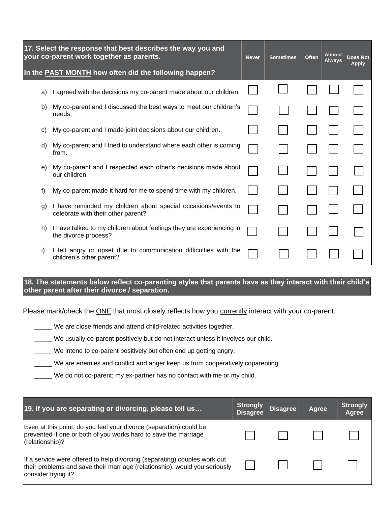| 17. Select the response that best describes the way you and<br>your co-parent work together as parents. |    | <b>Never</b>                                                                                        | <b>Sometimes</b> | <b>Often</b> | <b>Almost</b><br><b>Always</b> | <b>Does Not</b><br><b>Apply</b> |  |
|---------------------------------------------------------------------------------------------------------|----|-----------------------------------------------------------------------------------------------------|------------------|--------------|--------------------------------|---------------------------------|--|
|                                                                                                         |    | In the <b>PAST MONTH</b> how often did the following happen?                                        |                  |              |                                |                                 |  |
|                                                                                                         | a) | I agreed with the decisions my co-parent made about our children.                                   |                  |              |                                |                                 |  |
|                                                                                                         | b) | My co-parent and I discussed the best ways to meet our children's<br>needs.                         |                  |              |                                |                                 |  |
|                                                                                                         | C) | My co-parent and I made joint decisions about our children.                                         |                  |              |                                |                                 |  |
|                                                                                                         | d) | My co-parent and I tried to understand where each other is coming<br>from.                          |                  |              |                                |                                 |  |
|                                                                                                         | e) | My co-parent and I respected each other's decisions made about<br>our children.                     |                  |              |                                |                                 |  |
|                                                                                                         | f) | My co-parent made it hard for me to spend time with my children.                                    |                  |              |                                |                                 |  |
|                                                                                                         | g) | I have reminded my children about special occasions/events to<br>celebrate with their other parent? |                  |              |                                |                                 |  |
|                                                                                                         | h) | I have talked to my children about feelings they are experiencing in<br>the divorce process?        |                  |              |                                |                                 |  |
|                                                                                                         | i) | I felt angry or upset due to communication difficulties with the<br>children's other parent?        |                  |              |                                |                                 |  |

**18. The statements below reflect co-parenting styles that parents have as they interact with their child's other parent after their divorce / separation.**

Please mark/check the **ONE** that most closely reflects how you currently interact with your co-parent.

\_\_\_\_\_ We are close friends and attend child-related activities together.

\_\_\_\_\_ We usually co-parent positively but do not interact unless it involves our child.

\_\_\_\_\_ We intend to co-parent positively but often end up getting angry.

\_\_\_\_\_ We are enemies and conflict and anger keep us from cooperatively coparenting.

\_\_\_\_\_ We do not co-parent; my ex-partner has no contact with me or my child.

| 19. If you are separating or divorcing, please tell us                                                                                                                         | <b>Strongly</b><br><b>Disagree</b> | <b>Disagree</b> | Agree | Strongly<br>Agree |
|--------------------------------------------------------------------------------------------------------------------------------------------------------------------------------|------------------------------------|-----------------|-------|-------------------|
| Even at this point, do you feel your divorce (separation) could be<br>prevented if one or both of you works hard to save the marriage<br>(relationship)?                       |                                    |                 |       |                   |
| If a service were offered to help divorcing (separating) couples work out<br>their problems and save their marriage (relationship), would you seriously<br>consider trying it? |                                    |                 |       |                   |